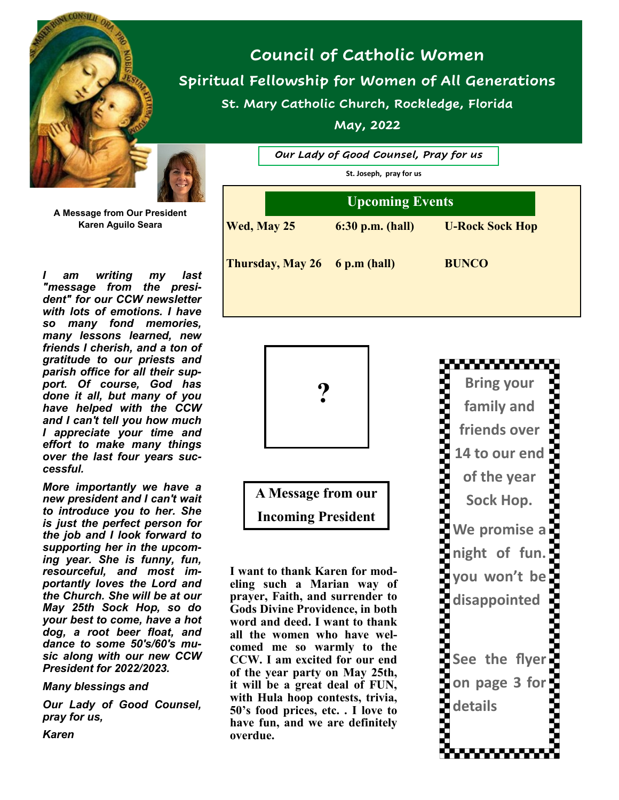

# **Council of Catholic Women Spiritual Fellowship for Women of All Generations St. Mary Catholic Church, Rockledge, Florida**

**May, 2022**

*Our Lady of Good Counsel, Pray for us*

**St. Joseph, pray for us**

| <b>Upcoming Events</b>        |                    |                        |
|-------------------------------|--------------------|------------------------|
| Wed, May 25                   | $6:30$ p.m. (hall) | <b>U-Rock Sock Hop</b> |
| Thursday, May 26 6 p.m (hall) |                    | <b>BUNCO</b>           |
|                               |                    |                        |



**A Message from our** 

**Incoming President**

**I want to thank Karen for modeling such a Marian way of prayer, Faith, and surrender to Gods Divine Providence, in both word and deed. I want to thank all the women who have welcomed me so warmly to the CCW. I am excited for our end of the year party on May 25th, it will be a great deal of FUN, with Hula hoop contests, trivia, 50's food prices, etc. . I love to have fun, and we are definitely overdue.**



**A Message from Our President Karen Aguilo Seara**

*I am writing my last "message from the president" for our CCW newsletter with lots of emotions. I have so many fond memories, many lessons learned, new friends I cherish, and a ton of gratitude to our priests and parish office for all their support. Of course, God has done it all, but many of you have helped with the CCW and I can't tell you how much I appreciate your time and effort to make many things over the last four years successful.* 

*More importantly we have a new president and I can't wait to introduce you to her. She is just the perfect person for the job and I look forward to supporting her in the upcoming year. She is funny, fun, resourceful, and most importantly loves the Lord and the Church. She will be at our May 25th Sock Hop, so do your best to come, have a hot dog, a root beer float, and dance to some 50's/60's music along with our new CCW President for 2022/2023.* 

*Many blessings and* 

*Our Lady of Good Counsel, pray for us,*

*Karen*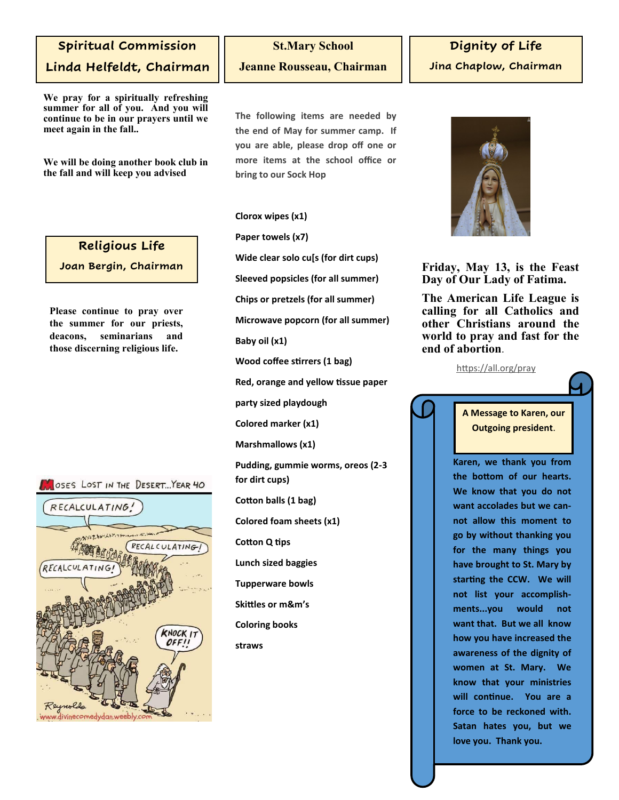### **Spiritual Commission**

**Linda Helfeldt, Chairman**

**We pray for a spiritually refreshing summer for all of you. And you will continue to be in our prayers until we meet again in the fall..**

**We will be doing another book club in the fall and will keep you advised**

#### **Religious Life**

**Joan Bergin, Chairman**

**Please continue to pray over the summer for our priests, deacons, seminarians and those discerning religious life.**

#### OSES LOST IN THE DESERT... YEAR 40



## **St.Mary School Jeanne Rousseau, Chairman**

**The following items are needed by the end of May for summer camp. If you are able, please drop off one or more items at the school office or bring to our Sock Hop**

**Clorox wipes (x1)**

**Paper towels (x7)**

**Wide clear solo cu[s (for dirt cups)**

**Sleeved popsicles (for all summer)**

**Chips or pretzels (for all summer)**

**Microwave popcorn (for all summer)**

**Baby oil (x1)**

**Wood coffee stirrers (1 bag)**

**Red, orange and yellow tissue paper**

**party sized playdough**

**Colored marker (x1)**

**Marshmallows (x1)**

**Pudding, gummie worms, oreos (2-3 for dirt cups)**

**Cotton balls (1 bag)**

**Colored foam sheets (x1)**

**Cotton Q tips**

**Lunch sized baggies**

**Tupperware bowls**

**Skittles or m&m's**

**Coloring books**

**straws**



**Friday, May 13, is the Feast Day of Our Lady of Fatima.**

**The American Life League is calling for all Catholics and other Christians around the world to pray and fast for the end of abortion**.

<https://all.org/pray>

**A Message to Karen, our Outgoing president**.

**Karen, we thank you from the bottom of our hearts. We know that you do not want accolades but we cannot allow this moment to go by without thanking you for the many things you have brought to St. Mary by starting the CCW. We will not list your accomplishments...you would not want that. But we all know how you have increased the awareness of the dignity of women at St. Mary. We know that your ministries will continue. You are a force to be reckoned with. Satan hates you, but we love you. Thank you.**